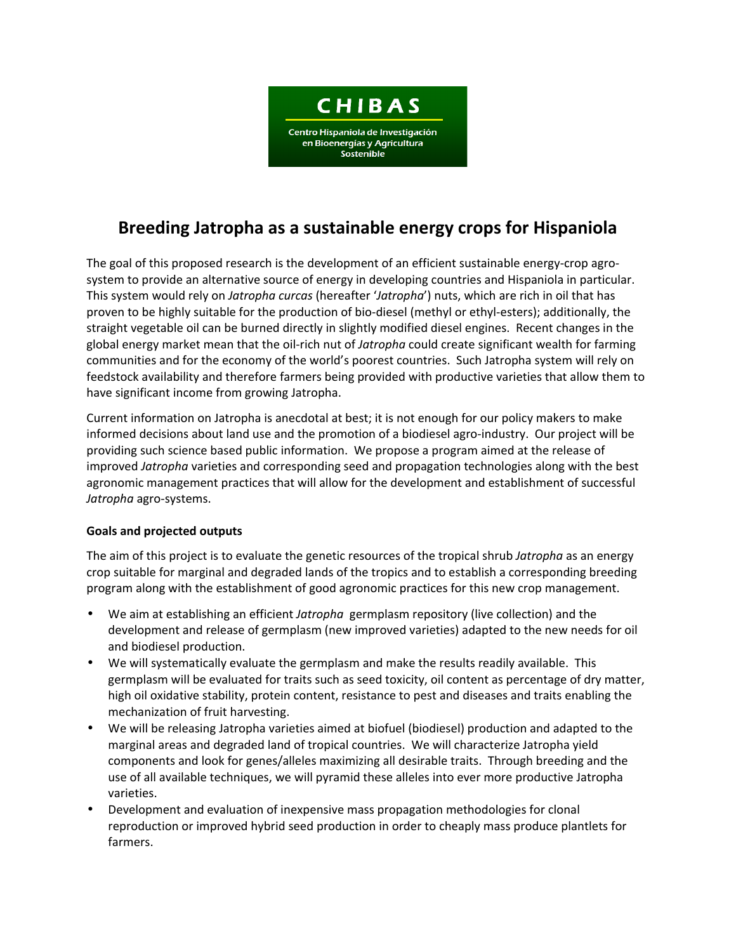

# **Breeding Jatropha as a sustainable energy crops for Hispaniola**

The goal of this proposed research is the development of an efficient sustainable energy-crop agrosystem to provide an alternative source of energy in developing countries and Hispaniola in particular. This system would rely on *Jatropha curcas* (hereafter '*Jatropha*') nuts, which are rich in oil that has proven to be highly suitable for the production of bio-diesel (methyl or ethyl-esters); additionally, the straight vegetable oil can be burned directly in slightly modified diesel engines. Recent changes in the global energy market mean that the oil-rich nut of *Jatropha* could create significant wealth for farming communities and for the economy of the world's poorest countries. Such Jatropha system will rely on feedstock availability and therefore farmers being provided with productive varieties that allow them to have significant income from growing Jatropha.

Current information on Jatropha is anecdotal at best; it is not enough for our policy makers to make informed decisions about land use and the promotion of a biodiesel agro-industry. Our project will be providing such science based public information. We propose a program aimed at the release of improved *Jatropha* varieties and corresponding seed and propagation technologies along with the best agronomic management practices that will allow for the development and establishment of successful *Jatropha* agro-systems.

### **Goals and projected outputs**

The aim of this project is to evaluate the genetic resources of the tropical shrub *Jatropha* as an energy crop suitable for marginal and degraded lands of the tropics and to establish a corresponding breeding program along with the establishment of good agronomic practices for this new crop management.

- We aim at establishing an efficient *Jatropha* germplasm repository (live collection) and the development and release of germplasm (new improved varieties) adapted to the new needs for oil and biodiesel production.
- We will systematically evaluate the germplasm and make the results readily available. This germplasm will be evaluated for traits such as seed toxicity, oil content as percentage of dry matter, high oil oxidative stability, protein content, resistance to pest and diseases and traits enabling the mechanization of fruit harvesting.
- We will be releasing Jatropha varieties aimed at biofuel (biodiesel) production and adapted to the marginal areas and degraded land of tropical countries. We will characterize Jatropha yield components and look for genes/alleles maximizing all desirable traits. Through breeding and the use of all available techniques, we will pyramid these alleles into ever more productive Jatropha varieties.
- Development and evaluation of inexpensive mass propagation methodologies for clonal reproduction or improved hybrid seed production in order to cheaply mass produce plantlets for farmers.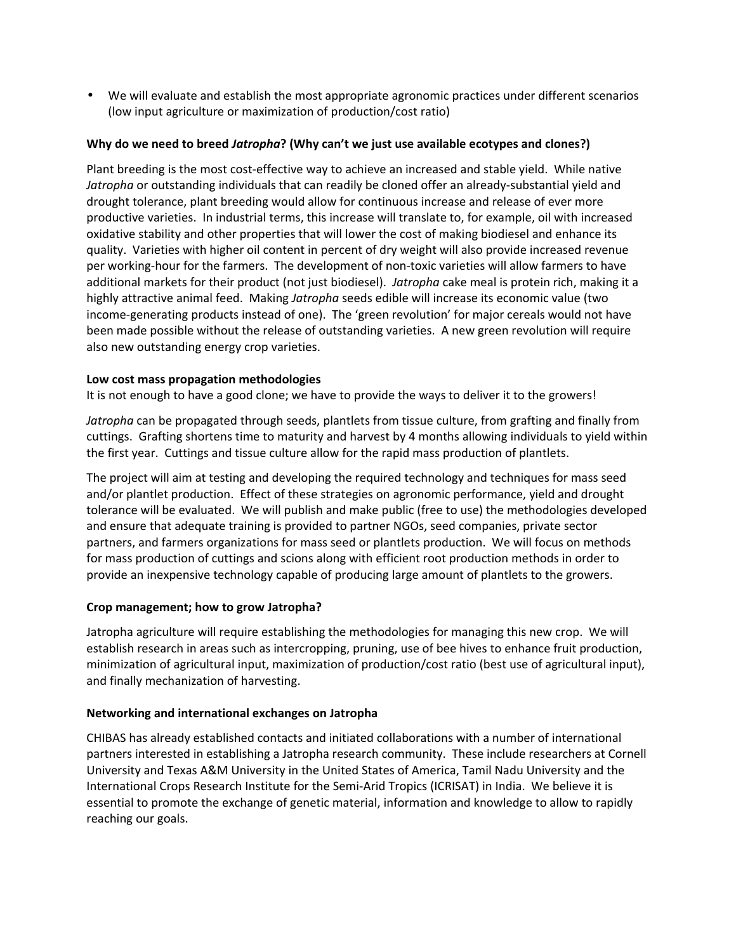• We will evaluate and establish the most appropriate agronomic practices under different scenarios (low input agriculture or maximization of production/cost ratio)

## **Why do we need to breed** *Jatropha***? (Why can't we just use available ecotypes and clones?)**

Plant breeding is the most cost-effective way to achieve an increased and stable yield. While native *Jatropha* or outstanding individuals that can readily be cloned offer an already-substantial yield and drought tolerance, plant breeding would allow for continuous increase and release of ever more productive varieties. In industrial terms, this increase will translate to, for example, oil with increased oxidative stability and other properties that will lower the cost of making biodiesel and enhance its quality. Varieties with higher oil content in percent of dry weight will also provide increased revenue per working-hour for the farmers. The development of non-toxic varieties will allow farmers to have additional markets for their product (not just biodiesel). *Jatropha* cake meal is protein rich, making it a highly attractive animal feed. Making *Jatropha* seeds edible will increase its economic value (two income-generating products instead of one). The 'green revolution' for major cereals would not have been made possible without the release of outstanding varieties. A new green revolution will require also new outstanding energy crop varieties.

### **Low cost mass propagation methodologies**

It is not enough to have a good clone; we have to provide the ways to deliver it to the growers!

*Jatropha* can be propagated through seeds, plantlets from tissue culture, from grafting and finally from cuttings. Grafting shortens time to maturity and harvest by 4 months allowing individuals to yield within the first year. Cuttings and tissue culture allow for the rapid mass production of plantlets.

The project will aim at testing and developing the required technology and techniques for mass seed and/or plantlet production. Effect of these strategies on agronomic performance, yield and drought tolerance will be evaluated. We will publish and make public (free to use) the methodologies developed and ensure that adequate training is provided to partner NGOs, seed companies, private sector partners, and farmers organizations for mass seed or plantlets production. We will focus on methods for mass production of cuttings and scions along with efficient root production methods in order to provide an inexpensive technology capable of producing large amount of plantlets to the growers.

### **Crop management; how to grow Jatropha?**

Jatropha agriculture will require establishing the methodologies for managing this new crop. We will establish research in areas such as intercropping, pruning, use of bee hives to enhance fruit production, minimization of agricultural input, maximization of production/cost ratio (best use of agricultural input), and finally mechanization of harvesting.

### **Networking and international exchanges on Jatropha**

CHIBAS has already established contacts and initiated collaborations with a number of international partners interested in establishing a Jatropha research community. These include researchers at Cornell University and Texas A&M University in the United States of America, Tamil Nadu University and the International Crops Research Institute for the Semi-Arid Tropics (ICRISAT) in India. We believe it is essential to promote the exchange of genetic material, information and knowledge to allow to rapidly reaching our goals.